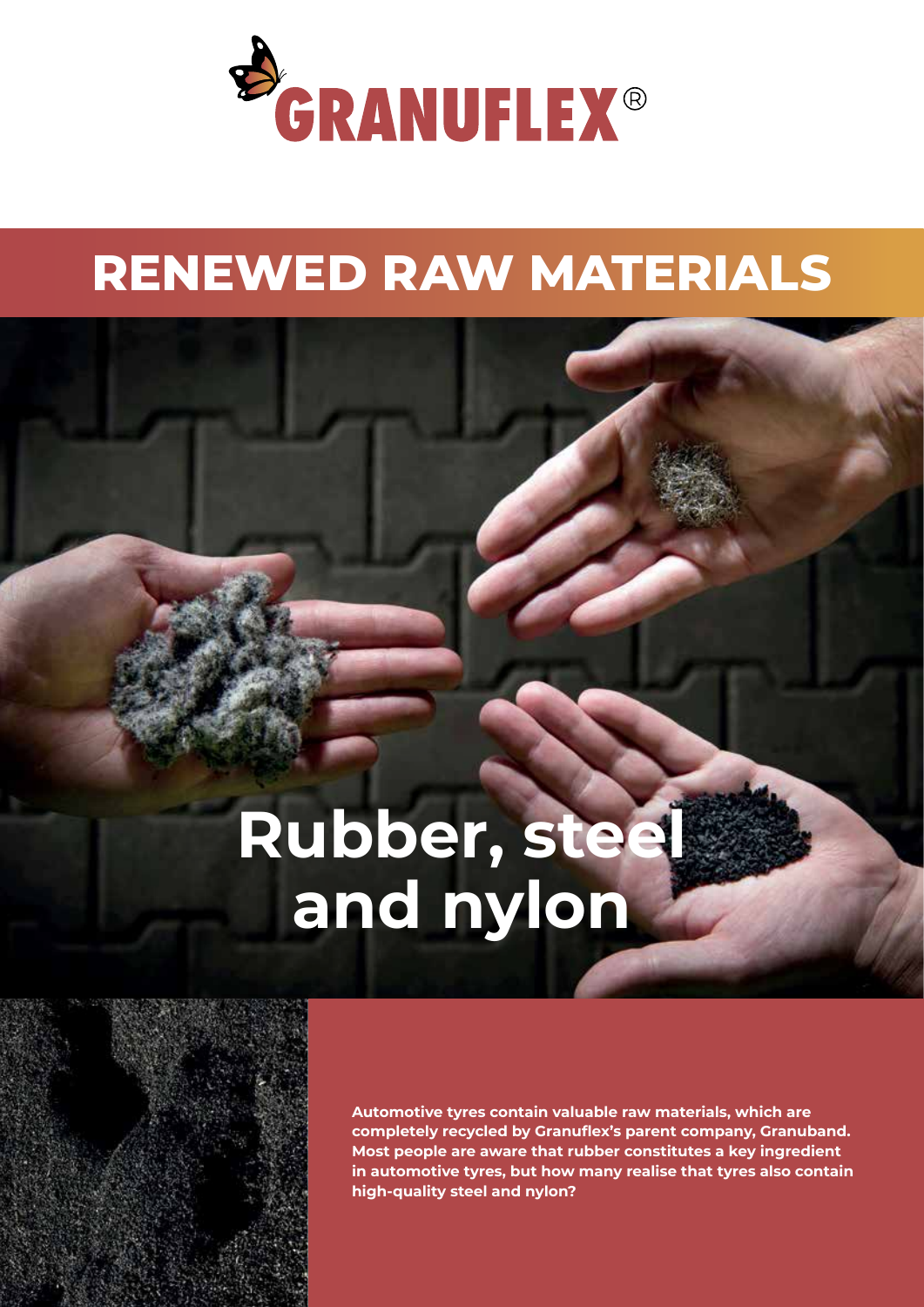

## **RENEWED RAW MATERIALS**

# **Rubber, steel and nylon**



**Automotive tyres contain valuable raw materials, which are completely recycled by Granuflex's parent company, Granuband. Most people are aware that rubber constitutes a key ingredient in automotive tyres, but how many realise that tyres also contain high-quality steel and nylon?**